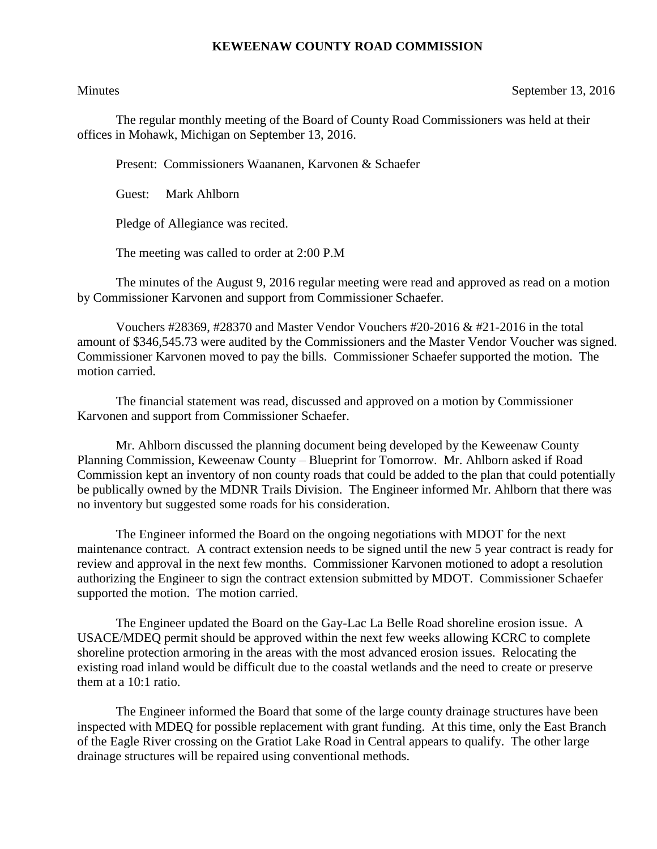## **KEWEENAW COUNTY ROAD COMMISSION**

## Minutes September 13, 2016

The regular monthly meeting of the Board of County Road Commissioners was held at their offices in Mohawk, Michigan on September 13, 2016.

Present: Commissioners Waananen, Karvonen & Schaefer

Guest: Mark Ahlborn

Pledge of Allegiance was recited.

The meeting was called to order at 2:00 P.M

The minutes of the August 9, 2016 regular meeting were read and approved as read on a motion by Commissioner Karvonen and support from Commissioner Schaefer.

Vouchers #28369, #28370 and Master Vendor Vouchers #20-2016 & #21-2016 in the total amount of \$346,545.73 were audited by the Commissioners and the Master Vendor Voucher was signed. Commissioner Karvonen moved to pay the bills. Commissioner Schaefer supported the motion. The motion carried.

The financial statement was read, discussed and approved on a motion by Commissioner Karvonen and support from Commissioner Schaefer.

Mr. Ahlborn discussed the planning document being developed by the Keweenaw County Planning Commission, Keweenaw County – Blueprint for Tomorrow. Mr. Ahlborn asked if Road Commission kept an inventory of non county roads that could be added to the plan that could potentially be publically owned by the MDNR Trails Division. The Engineer informed Mr. Ahlborn that there was no inventory but suggested some roads for his consideration.

The Engineer informed the Board on the ongoing negotiations with MDOT for the next maintenance contract. A contract extension needs to be signed until the new 5 year contract is ready for review and approval in the next few months. Commissioner Karvonen motioned to adopt a resolution authorizing the Engineer to sign the contract extension submitted by MDOT. Commissioner Schaefer supported the motion. The motion carried.

The Engineer updated the Board on the Gay-Lac La Belle Road shoreline erosion issue. A USACE/MDEQ permit should be approved within the next few weeks allowing KCRC to complete shoreline protection armoring in the areas with the most advanced erosion issues. Relocating the existing road inland would be difficult due to the coastal wetlands and the need to create or preserve them at a 10:1 ratio.

The Engineer informed the Board that some of the large county drainage structures have been inspected with MDEQ for possible replacement with grant funding. At this time, only the East Branch of the Eagle River crossing on the Gratiot Lake Road in Central appears to qualify. The other large drainage structures will be repaired using conventional methods.